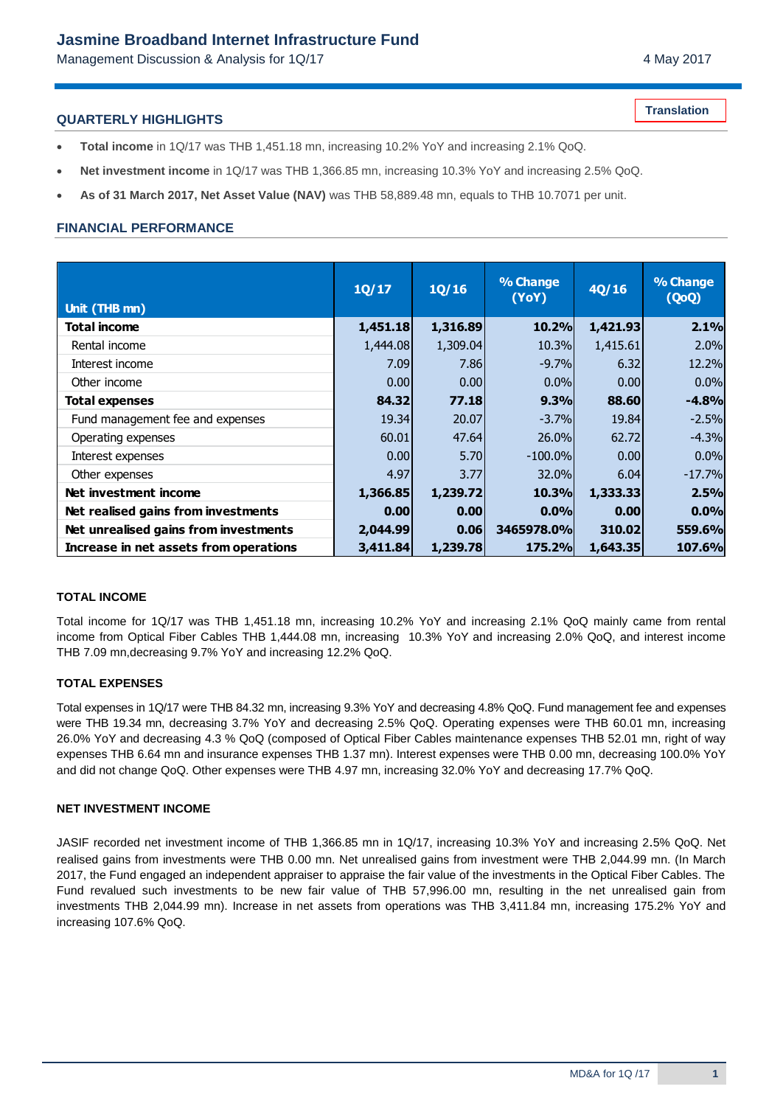## **Jasmine Broadband Internet Infrastructure Fund**

Management Discussion & Analysis for 1Q/17 Management Discussion & Analysis for 1Q/17

**Translation**

#### **QUARTERLY HIGHLIGHTS**

- **Total income** in 1Q/17 was THB 1,451.18 mn, increasing 10.2% YoY and increasing 2.1% QoQ.
- **Net investment income** in 1Q/17 was THB 1,366.85 mn, increasing 10.3% YoY and increasing 2.5% QoQ.
- **As of 31 March 2017, Net Asset Value (NAV)** was THB 58,889.48 mn, equals to THB 10.7071 per unit.

### **FINANCIAL PERFORMANCE**

| Unit (THB mn)                          | 1Q/17    | 1Q/16    | % Change<br>(YoY) | 4Q/16    | % Change<br>(QoQ) |
|----------------------------------------|----------|----------|-------------------|----------|-------------------|
| <b>Total income</b>                    | 1,451.18 | 1,316.89 | 10.2%             | 1,421.93 | 2.1%              |
| Rental income                          | 1,444.08 | 1,309.04 | 10.3%             | 1,415.61 | 2.0%              |
| Interest income                        | 7.09     | 7.86     | $-9.7%$           | 6.32     | 12.2%             |
| Other income                           | 0.001    | 0.00     | $0.0\%$           | 0.00     | 0.0%              |
| <b>Total expenses</b>                  | 84.32    | 77.18    | 9.3%              | 88.60    | $-4.8%$           |
| Fund management fee and expenses       | 19.34    | 20.07    | $-3.7%$           | 19.84    | $-2.5%$           |
| Operating expenses                     | 60.01    | 47.64    | 26.0%             | 62.72    | $-4.3%$           |
| Interest expenses                      | 0.00     | 5.70     | $-100.0\%$        | 0.00     | 0.0%              |
| Other expenses                         | 4.97     | 3.77     | 32.0%             | 6.04     | $-17.7%$          |
| Net investment income                  | 1,366.85 | 1,239.72 | 10.3%             | 1,333.33 | 2.5%              |
| Net realised gains from investments    | 0.00     | 0.00     | 0.0%              | 0.00     | 0.0%              |
| Net unrealised gains from investments  | 2,044.99 | 0.06     | 3465978.0%        | 310.02   | 559.6%            |
| Increase in net assets from operations | 3,411.84 | 1,239.78 | <b>175.2%</b>     | 1,643.35 | 107.6%            |

#### **TOTAL INCOME**

Total income for 1Q/17 was THB 1,451.18 mn, increasing 10.2% YoY and increasing 2.1% QoQ mainly came from rental income from Optical Fiber Cables THB 1,444.08 mn, increasing 10.3% YoY and increasing 2.0% QoQ, and interest income THB 7.09 mn,decreasing 9.7% YoY and increasing 12.2% QoQ.

#### **TOTAL EXPENSES**

Total expenses in 1Q/17 were THB 84.32 mn, increasing 9.3% YoY and decreasing 4.8% QoQ. Fund management fee and expenses were THB 19.34 mn, decreasing 3.7% YoY and decreasing 2.5% QoQ. Operating expenses were THB 60.01 mn, increasing 26.0% YoY and decreasing 4.3 % QoQ (composed of Optical Fiber Cables maintenance expenses THB 52.01 mn, right of way expenses THB 6.64 mn and insurance expenses THB 1.37 mn). Interest expenses were THB 0.00 mn, decreasing 100.0% YoY and did not change QoQ. Other expenses were THB 4.97 mn, increasing 32.0% YoY and decreasing 17.7% QoQ.

#### **NET INVESTMENT INCOME**

JASIF recorded net investment income of THB 1,366.85 mn in 1Q/17, increasing 10.3% YoY and increasing 2.5% QoQ. Net realised gains from investments were THB 0.00 mn. Net unrealised gains from investment were THB 2,044.99 mn. (In March 2017, the Fund engaged an independent appraiser to appraise the fair value of the investments in the Optical Fiber Cables. The Fund revalued such investments to be new fair value of THB 57,996.00 mn, resulting in the net unrealised gain from investments THB 2,044.99 mn). Increase in net assets from operations was THB 3,411.84 mn, increasing 175.2% YoY and increasing 107.6% QoQ.